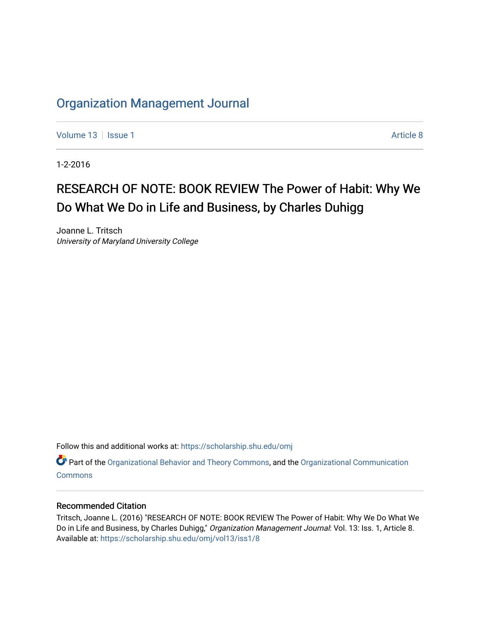## [Organization Management Journal](https://scholarship.shu.edu/omj)

[Volume 13](https://scholarship.shu.edu/omj/vol13) Setup 1 Article 8

1-2-2016

# RESEARCH OF NOTE: BOOK REVIEW The Power of Habit: Why We Do What We Do in Life and Business, by Charles Duhigg

Joanne L. Tritsch University of Maryland University College

Follow this and additional works at: [https://scholarship.shu.edu/omj](https://scholarship.shu.edu/omj?utm_source=scholarship.shu.edu%2Fomj%2Fvol13%2Fiss1%2F8&utm_medium=PDF&utm_campaign=PDFCoverPages) 

Part of the [Organizational Behavior and Theory Commons,](http://network.bepress.com/hgg/discipline/639?utm_source=scholarship.shu.edu%2Fomj%2Fvol13%2Fiss1%2F8&utm_medium=PDF&utm_campaign=PDFCoverPages) and the [Organizational Communication](http://network.bepress.com/hgg/discipline/335?utm_source=scholarship.shu.edu%2Fomj%2Fvol13%2Fiss1%2F8&utm_medium=PDF&utm_campaign=PDFCoverPages) **[Commons](http://network.bepress.com/hgg/discipline/335?utm_source=scholarship.shu.edu%2Fomj%2Fvol13%2Fiss1%2F8&utm_medium=PDF&utm_campaign=PDFCoverPages)** 

### Recommended Citation

Tritsch, Joanne L. (2016) "RESEARCH OF NOTE: BOOK REVIEW The Power of Habit: Why We Do What We Do in Life and Business, by Charles Duhigg," Organization Management Journal: Vol. 13: Iss. 1, Article 8. Available at: [https://scholarship.shu.edu/omj/vol13/iss1/8](https://scholarship.shu.edu/omj/vol13/iss1/8?utm_source=scholarship.shu.edu%2Fomj%2Fvol13%2Fiss1%2F8&utm_medium=PDF&utm_campaign=PDFCoverPages)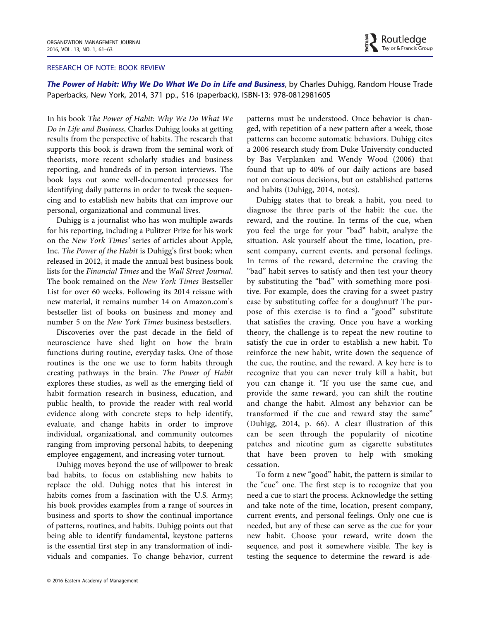#### RESEARCH OF NOTE: BOOK REVIEW

The Power of Habit: Why We Do What We Do in Life and Business, by Charles Duhigg, Random House Trade Paperbacks, New York, 2014, 371 pp., \$16 (paperback), ISBN-13: 978-0812981605

In his book The Power of Habit: Why We Do What We Do in Life and Business, Charles Duhigg looks at getting results from the perspective of habits. The research that supports this book is drawn from the seminal work of theorists, more recent scholarly studies and business reporting, and hundreds of in-person interviews. The book lays out some well-documented processes for identifying daily patterns in order to tweak the sequencing and to establish new habits that can improve our personal, organizational and communal lives.

Duhigg is a journalist who has won multiple awards for his reporting, including a Pulitzer Prize for his work on the New York Times' series of articles about Apple, Inc. The Power of the Habit is Duhigg's first book; when released in 2012, it made the annual best business book lists for the Financial Times and the Wall Street Journal. The book remained on the New York Times Bestseller List for over 60 weeks. Following its 2014 reissue with new material, it remains number 14 on Amazon.com's bestseller list of books on business and money and number 5 on the New York Times business bestsellers.

Discoveries over the past decade in the field of neuroscience have shed light on how the brain functions during routine, everyday tasks. One of those routines is the one we use to form habits through creating pathways in the brain. The Power of Habit explores these studies, as well as the emerging field of habit formation research in business, education, and public health, to provide the reader with real-world evidence along with concrete steps to help identify, evaluate, and change habits in order to improve individual, organizational, and community outcomes ranging from improving personal habits, to deepening employee engagement, and increasing voter turnout.

Duhigg moves beyond the use of willpower to break bad habits, to focus on establishing new habits to replace the old. Duhigg notes that his interest in habits comes from a fascination with the U.S. Army; his book provides examples from a range of sources in business and sports to show the continual importance of patterns, routines, and habits. Duhigg points out that being able to identify fundamental, keystone patterns is the essential first step in any transformation of individuals and companies. To change behavior, current

© 2016 Eastern Academy of Management

patterns must be understood. Once behavior is changed, with repetition of a new pattern after a week, those patterns can become automatic behaviors. Duhigg cites a 2006 research study from Duke University conducted by Bas Verplanken and Wendy Wood (2006) that found that up to 40% of our daily actions are based not on conscious decisions, but on established patterns and habits (Duhigg, 2014, notes).

 $\blacktriangleright$  Routledge Taylor & Francis Group

Duhigg states that to break a habit, you need to diagnose the three parts of the habit: the cue, the reward, and the routine. In terms of the cue, when you feel the urge for your "bad" habit, analyze the situation. Ask yourself about the time, location, present company, current events, and personal feelings. In terms of the reward, determine the craving the "bad" habit serves to satisfy and then test your theory by substituting the "bad" with something more positive. For example, does the craving for a sweet pastry ease by substituting coffee for a doughnut? The purpose of this exercise is to find a "good" substitute that satisfies the craving. Once you have a working theory, the challenge is to repeat the new routine to satisfy the cue in order to establish a new habit. To reinforce the new habit, write down the sequence of the cue, the routine, and the reward. A key here is to recognize that you can never truly kill a habit, but you can change it. "If you use the same cue, and provide the same reward, you can shift the routine and change the habit. Almost any behavior can be transformed if the cue and reward stay the same" (Duhigg, 2014, p. 66). A clear illustration of this can be seen through the popularity of nicotine patches and nicotine gum as cigarette substitutes that have been proven to help with smoking cessation.

To form a new "good" habit, the pattern is similar to the "cue" one. The first step is to recognize that you need a cue to start the process. Acknowledge the setting and take note of the time, location, present company, current events, and personal feelings. Only one cue is needed, but any of these can serve as the cue for your new habit. Choose your reward, write down the sequence, and post it somewhere visible. The key is testing the sequence to determine the reward is ade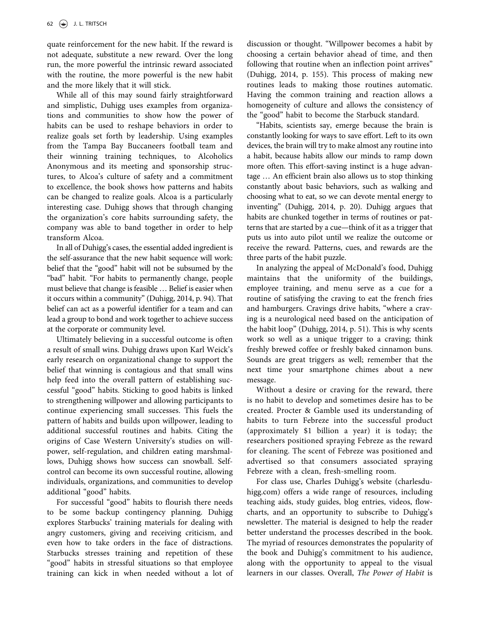quate reinforcement for the new habit. If the reward is not adequate, substitute a new reward. Over the long run, the more powerful the intrinsic reward associated with the routine, the more powerful is the new habit and the more likely that it will stick.

While all of this may sound fairly straightforward and simplistic, Duhigg uses examples from organizations and communities to show how the power of habits can be used to reshape behaviors in order to realize goals set forth by leadership. Using examples from the Tampa Bay Buccaneers football team and their winning training techniques, to Alcoholics Anonymous and its meeting and sponsorship structures, to Alcoa's culture of safety and a commitment to excellence, the book shows how patterns and habits can be changed to realize goals. Alcoa is a particularly interesting case. Duhigg shows that through changing the organization's core habits surrounding safety, the company was able to band together in order to help transform Alcoa.

In all of Duhigg's cases, the essential added ingredient is the self-assurance that the new habit sequence will work: belief that the "good" habit will not be subsumed by the "bad" habit. "For habits to permanently change, people must believe that change is feasible … Belief is easier when it occurs within a community" (Duhigg, 2014, p. 94). That belief can act as a powerful identifier for a team and can lead a group to bond and work together to achieve success at the corporate or community level.

Ultimately believing in a successful outcome is often a result of small wins. Duhigg draws upon Karl Weick's early research on organizational change to support the belief that winning is contagious and that small wins help feed into the overall pattern of establishing successful "good" habits. Sticking to good habits is linked to strengthening willpower and allowing participants to continue experiencing small successes. This fuels the pattern of habits and builds upon willpower, leading to additional successful routines and habits. Citing the origins of Case Western University's studies on willpower, self-regulation, and children eating marshmallows, Duhigg shows how success can snowball. Selfcontrol can become its own successful routine, allowing individuals, organizations, and communities to develop additional "good" habits.

For successful "good" habits to flourish there needs to be some backup contingency planning. Duhigg explores Starbucks' training materials for dealing with angry customers, giving and receiving criticism, and even how to take orders in the face of distractions. Starbucks stresses training and repetition of these "good" habits in stressful situations so that employee training can kick in when needed without a lot of discussion or thought. "Willpower becomes a habit by choosing a certain behavior ahead of time, and then following that routine when an inflection point arrives" (Duhigg, 2014, p. 155). This process of making new routines leads to making those routines automatic. Having the common training and reaction allows a homogeneity of culture and allows the consistency of the "good" habit to become the Starbuck standard.

"Habits, scientists say, emerge because the brain is constantly looking for ways to save effort. Left to its own devices, the brain will try to make almost any routine into a habit, because habits allow our minds to ramp down more often. This effort-saving instinct is a huge advantage … An efficient brain also allows us to stop thinking constantly about basic behaviors, such as walking and choosing what to eat, so we can devote mental energy to inventing" (Duhigg, 2014, p. 20). Duhigg argues that habits are chunked together in terms of routines or patterns that are started by a cue—think of it as a trigger that puts us into auto pilot until we realize the outcome or receive the reward. Patterns, cues, and rewards are the three parts of the habit puzzle.

In analyzing the appeal of McDonald's food, Duhigg maintains that the uniformity of the buildings, employee training, and menu serve as a cue for a routine of satisfying the craving to eat the french fries and hamburgers. Cravings drive habits, "where a craving is a neurological need based on the anticipation of the habit loop" (Duhigg, 2014, p. 51). This is why scents work so well as a unique trigger to a craving; think freshly brewed coffee or freshly baked cinnamon buns. Sounds are great triggers as well; remember that the next time your smartphone chimes about a new message.

Without a desire or craving for the reward, there is no habit to develop and sometimes desire has to be created. Procter & Gamble used its understanding of habits to turn Febreze into the successful product (approximately \$1 billion a year) it is today; the researchers positioned spraying Febreze as the reward for cleaning. The scent of Febreze was positioned and advertised so that consumers associated spraying Febreze with a clean, fresh-smelling room.

For class use, Charles Duhigg's website (charlesduhigg.com) offers a wide range of resources, including teaching aids, study guides, blog entries, videos, flowcharts, and an opportunity to subscribe to Duhigg's newsletter. The material is designed to help the reader better understand the processes described in the book. The myriad of resources demonstrates the popularity of the book and Duhigg's commitment to his audience, along with the opportunity to appeal to the visual learners in our classes. Overall, The Power of Habit is